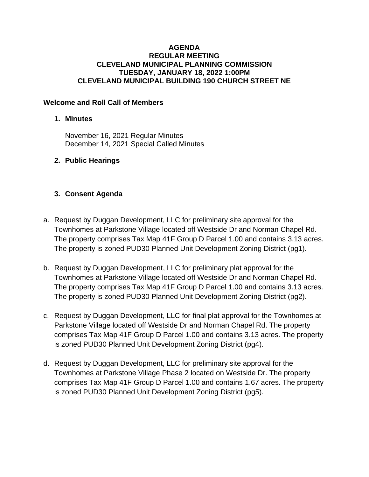#### **AGENDA REGULAR MEETING CLEVELAND MUNICIPAL PLANNING COMMISSION TUESDAY, JANUARY 18, 2022 1:00PM CLEVELAND MUNICIPAL BUILDING 190 CHURCH STREET NE**

### **Welcome and Roll Call of Members**

## **1. Minutes**

November 16, 2021 Regular Minutes December 14, 2021 Special Called Minutes

## **2. Public Hearings**

## **3. Consent Agenda**

- a. Request by Duggan Development, LLC for preliminary site approval for the Townhomes at Parkstone Village located off Westside Dr and Norman Chapel Rd. The property comprises Tax Map 41F Group D Parcel 1.00 and contains 3.13 acres. The property is zoned PUD30 Planned Unit Development Zoning District (pg1).
- b. Request by Duggan Development, LLC for preliminary plat approval for the Townhomes at Parkstone Village located off Westside Dr and Norman Chapel Rd. The property comprises Tax Map 41F Group D Parcel 1.00 and contains 3.13 acres. The property is zoned PUD30 Planned Unit Development Zoning District (pg2).
- c. Request by Duggan Development, LLC for final plat approval for the Townhomes at Parkstone Village located off Westside Dr and Norman Chapel Rd. The property comprises Tax Map 41F Group D Parcel 1.00 and contains 3.13 acres. The property is zoned PUD30 Planned Unit Development Zoning District (pg4).
- d. Request by Duggan Development, LLC for preliminary site approval for the Townhomes at Parkstone Village Phase 2 located on Westside Dr. The property comprises Tax Map 41F Group D Parcel 1.00 and contains 1.67 acres. The property is zoned PUD30 Planned Unit Development Zoning District (pg5).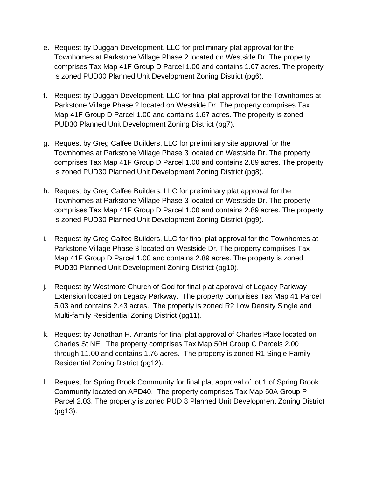- e. Request by Duggan Development, LLC for preliminary plat approval for the Townhomes at Parkstone Village Phase 2 located on Westside Dr. The property comprises Tax Map 41F Group D Parcel 1.00 and contains 1.67 acres. The property is zoned PUD30 Planned Unit Development Zoning District (pg6).
- f. Request by Duggan Development, LLC for final plat approval for the Townhomes at Parkstone Village Phase 2 located on Westside Dr. The property comprises Tax Map 41F Group D Parcel 1.00 and contains 1.67 acres. The property is zoned PUD30 Planned Unit Development Zoning District (pg7).
- g. Request by Greg Calfee Builders, LLC for preliminary site approval for the Townhomes at Parkstone Village Phase 3 located on Westside Dr. The property comprises Tax Map 41F Group D Parcel 1.00 and contains 2.89 acres. The property is zoned PUD30 Planned Unit Development Zoning District (pg8).
- h. Request by Greg Calfee Builders, LLC for preliminary plat approval for the Townhomes at Parkstone Village Phase 3 located on Westside Dr. The property comprises Tax Map 41F Group D Parcel 1.00 and contains 2.89 acres. The property is zoned PUD30 Planned Unit Development Zoning District (pg9).
- i. Request by Greg Calfee Builders, LLC for final plat approval for the Townhomes at Parkstone Village Phase 3 located on Westside Dr. The property comprises Tax Map 41F Group D Parcel 1.00 and contains 2.89 acres. The property is zoned PUD30 Planned Unit Development Zoning District (pg10).
- j. Request by Westmore Church of God for final plat approval of Legacy Parkway Extension located on Legacy Parkway. The property comprises Tax Map 41 Parcel 5.03 and contains 2.43 acres. The property is zoned R2 Low Density Single and Multi-family Residential Zoning District (pg11).
- k. Request by Jonathan H. Arrants for final plat approval of Charles Place located on Charles St NE. The property comprises Tax Map 50H Group C Parcels 2.00 through 11.00 and contains 1.76 acres. The property is zoned R1 Single Family Residential Zoning District (pg12).
- l. Request for Spring Brook Community for final plat approval of lot 1 of Spring Brook Community located on APD40. The property comprises Tax Map 50A Group P Parcel 2.03. The property is zoned PUD 8 Planned Unit Development Zoning District (pg13).